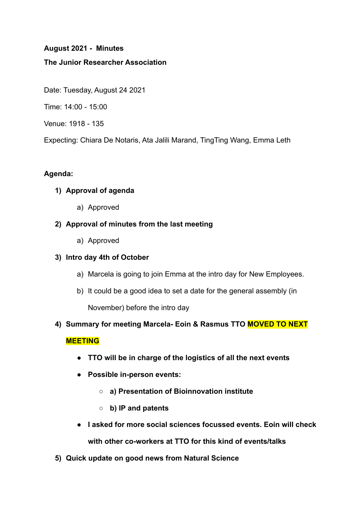## **August 2021 - Minutes**

## **The Junior Researcher Association**

Date: Tuesday, August 24 2021

Time: 14:00 - 15:00

Venue: 1918 - 135

Expecting: Chiara De Notaris, Ata Jalili Marand, TingTing Wang, Emma Leth

## **Agenda:**

# **1) Approval of agenda**

a) Approved

## **2) Approval of minutes from the last meeting**

a) Approved

#### **3) Intro day 4th of October**

- a) Marcela is going to join Emma at the intro day for New Employees.
- b) It could be a good idea to set a date for the general assembly (in

November) before the intro day

**4) Summary for meeting Marcela- Eoin & Rasmus TTO MOVED TO NEXT**

# **MEETING**

- **● TTO will be in charge of the logistics of all the next events**
- **● Possible in-person events:**
	- **○ a) Presentation of Bioinnovation institute**
	- **○ b) IP and patents**
- **● I asked for more social sciences focussed events. Eoin will check with other co-workers at TTO for this kind of events/talks**
- **5) Quick update on good news from Natural Science**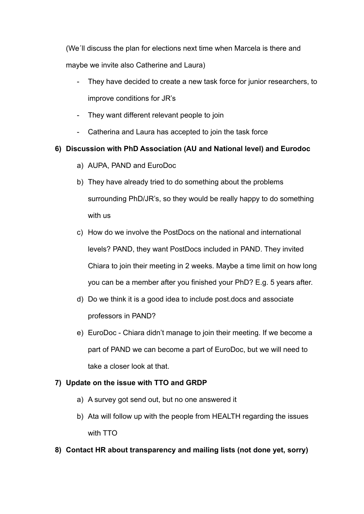(We´ll discuss the plan for elections next time when Marcela is there and maybe we invite also Catherine and Laura)

- They have decided to create a new task force for junior researchers, to improve conditions for JR's
- They want different relevant people to join
- Catherina and Laura has accepted to join the task force

# **6) Discussion with PhD Association (AU and National level) and Eurodoc**

- a) AUPA, PAND and EuroDoc
- b) They have already tried to do something about the problems surrounding PhD/JR's, so they would be really happy to do something with us
- c) How do we involve the PostDocs on the national and international levels? PAND, they want PostDocs included in PAND. They invited Chiara to join their meeting in 2 weeks. Maybe a time limit on how long you can be a member after you finished your PhD? E.g. 5 years after.
- d) Do we think it is a good idea to include post.docs and associate professors in PAND?
- e) EuroDoc Chiara didn't manage to join their meeting. If we become a part of PAND we can become a part of EuroDoc, but we will need to take a closer look at that.

# **7) Update on the issue with TTO and GRDP**

- a) A survey got send out, but no one answered it
- b) Ata will follow up with the people from HEALTH regarding the issues with TTO

# **8) Contact HR about transparency and mailing lists (not done yet, sorry)**